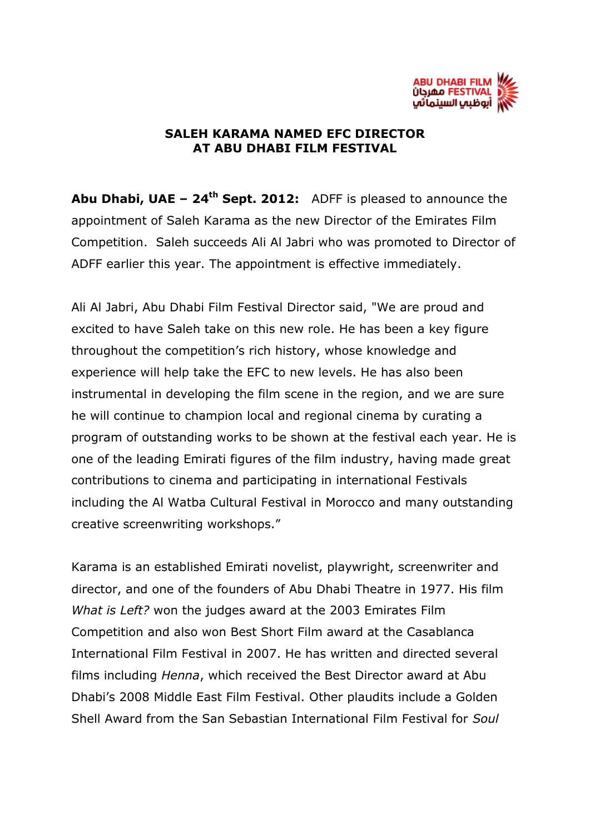

## **SALEH KARAMA NAMED EFC DIRECTOR AT ABU DHABI FILM FESTIVAL**

**Abu Dhabi, UAE – 24 th Sept. 2012:** ADFF is pleased to announce the appointment of Saleh Karama as the new Director of the Emirates Film Competition. Saleh succeeds Ali Al Jabri who was promoted to Director of ADFF earlier this year. The appointment is effective immediately.

Ali Al Jabri, Abu Dhabi Film Festival Director said, "We are proud and excited to have Saleh take on this new role. He has been a key figure throughout the competition's rich history, whose knowledge and experience will help take the EFC to new levels. He has also been instrumental in developing the film scene in the region, and we are sure he will continue to champion local and regional cinema by curating a program of outstanding works to be shown at the festival each year. He is one of the leading Emirati figures of the film industry, having made great contributions to cinema and participating in international Festivals including the Al Watba Cultural Festival in Morocco and many outstanding creative screenwriting workshops."

Karama is an established Emirati novelist, playwright, screenwriter and director, and one of the founders of Abu Dhabi Theatre in 1977. His film *What is Left?* won the judges award at the 2003 Emirates Film Competition and also won Best Short Film award at the Casablanca International Film Festival in 2007. He has written and directed several films including *Henna*, which received the Best Director award at Abu Dhabi's 2008 Middle East Film Festival. Other plaudits include a Golden Shell Award from the San Sebastian International Film Festival for *Soul*